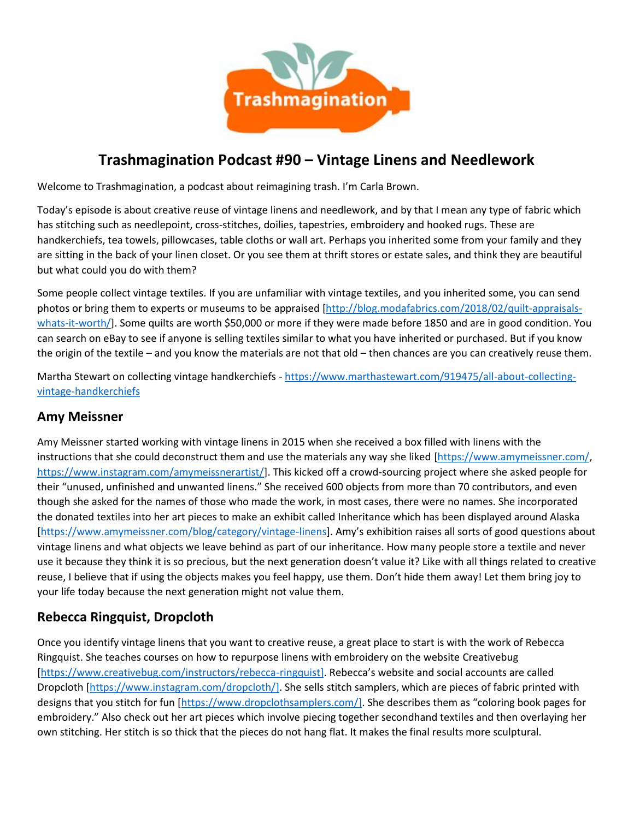

# **Trashmagination Podcast #90 – Vintage Linens and Needlework**

Welcome to Trashmagination, a podcast about reimagining trash. I'm Carla Brown.

Today's episode is about creative reuse of vintage linens and needlework, and by that I mean any type of fabric which has stitching such as needlepoint, cross-stitches, doilies, tapestries, embroidery and hooked rugs. These are handkerchiefs, tea towels, pillowcases, table cloths or wall art. Perhaps you inherited some from your family and they are sitting in the back of your linen closet. Or you see them at thrift stores or estate sales, and think they are beautiful but what could you do with them?

Some people collect vintage textiles. If you are unfamiliar with vintage textiles, and you inherited some, you can send photos or bring them to experts or museums to be appraised [http://blog.modafabrics.com/2018/02/quilt-appraisals whats-it-worth/]. Some quilts are worth \$50,000 or more if they were made before 1850 and are in good condition. You can search on eBay to see if anyone is selling textiles similar to what you have inherited or purchased. But if you know the origin of the textile – and you know the materials are not that old – then chances are you can creatively reuse them.

Martha Stewart on collecting vintage handkerchiefs - https://www.marthastewart.com/919475/all-about-collectingvintage-handkerchiefs

## **Amy Meissner**

Amy Meissner started working with vintage linens in 2015 when she received a box filled with linens with the instructions that she could deconstruct them and use the materials any way she liked [https://www.amymeissner.com/, https://www.instagram.com/amymeissnerartist/]. This kicked off a crowd-sourcing project where she asked people for their "unused, unfinished and unwanted linens." She received 600 objects from more than 70 contributors, and even though she asked for the names of those who made the work, in most cases, there were no names. She incorporated the donated textiles into her art pieces to make an exhibit called Inheritance which has been displayed around Alaska [https://www.amymeissner.com/blog/category/vintage-linens]. Amy's exhibition raises all sorts of good questions about vintage linens and what objects we leave behind as part of our inheritance. How many people store a textile and never use it because they think it is so precious, but the next generation doesn't value it? Like with all things related to creative reuse, I believe that if using the objects makes you feel happy, use them. Don't hide them away! Let them bring joy to your life today because the next generation might not value them.

## **Rebecca Ringquist, Dropcloth**

Once you identify vintage linens that you want to creative reuse, a great place to start is with the work of Rebecca Ringquist. She teaches courses on how to repurpose linens with embroidery on the website Creativebug [https://www.creativebug.com/instructors/rebecca-ringquist]. Rebecca's website and social accounts are called Dropcloth [https://www.instagram.com/dropcloth/]. She sells stitch samplers, which are pieces of fabric printed with designs that you stitch for fun [https://www.dropclothsamplers.com/]. She describes them as "coloring book pages for embroidery." Also check out her art pieces which involve piecing together secondhand textiles and then overlaying her own stitching. Her stitch is so thick that the pieces do not hang flat. It makes the final results more sculptural.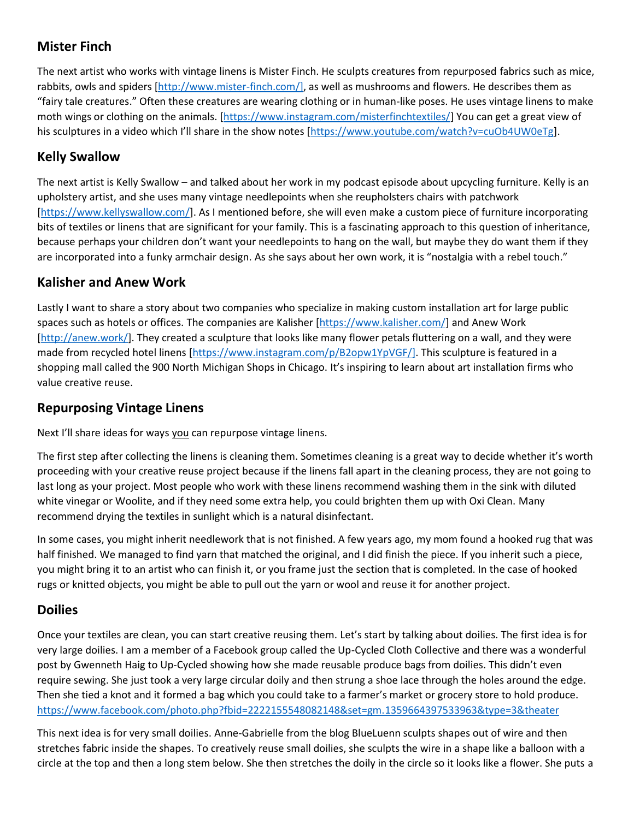# **Mister Finch**

The next artist who works with vintage linens is Mister Finch. He sculpts creatures from repurposed fabrics such as mice, rabbits, owls and spiders [http://www.mister-finch.com/], as well as mushrooms and flowers. He describes them as "fairy tale creatures." Often these creatures are wearing clothing or in human-like poses. He uses vintage linens to make moth wings or clothing on the animals. [https://www.instagram.com/misterfinchtextiles/] You can get a great view of his sculptures in a video which I'll share in the show notes [https://www.youtube.com/watch?v=cuOb4UW0eTg].

# **Kelly Swallow**

The next artist is Kelly Swallow – and talked about her work in my podcast episode about upcycling furniture. Kelly is an upholstery artist, and she uses many vintage needlepoints when she reupholsters chairs with patchwork [https://www.kellyswallow.com/]. As I mentioned before, she will even make a custom piece of furniture incorporating bits of textiles or linens that are significant for your family. This is a fascinating approach to this question of inheritance, because perhaps your children don't want your needlepoints to hang on the wall, but maybe they do want them if they are incorporated into a funky armchair design. As she says about her own work, it is "nostalgia with a rebel touch."

# **Kalisher and Anew Work**

Lastly I want to share a story about two companies who specialize in making custom installation art for large public spaces such as hotels or offices. The companies are Kalisher [https://www.kalisher.com/] and Anew Work [http://anew.work/]. They created a sculpture that looks like many flower petals fluttering on a wall, and they were made from recycled hotel linens [https://www.instagram.com/p/B2opw1YpVGF/]. This sculpture is featured in a shopping mall called the 900 North Michigan Shops in Chicago. It's inspiring to learn about art installation firms who value creative reuse.

# **Repurposing Vintage Linens**

Next I'll share ideas for ways you can repurpose vintage linens.

The first step after collecting the linens is cleaning them. Sometimes cleaning is a great way to decide whether it's worth proceeding with your creative reuse project because if the linens fall apart in the cleaning process, they are not going to last long as your project. Most people who work with these linens recommend washing them in the sink with diluted white vinegar or Woolite, and if they need some extra help, you could brighten them up with Oxi Clean. Many recommend drying the textiles in sunlight which is a natural disinfectant.

In some cases, you might inherit needlework that is not finished. A few years ago, my mom found a hooked rug that was half finished. We managed to find yarn that matched the original, and I did finish the piece. If you inherit such a piece, you might bring it to an artist who can finish it, or you frame just the section that is completed. In the case of hooked rugs or knitted objects, you might be able to pull out the yarn or wool and reuse it for another project.

## **Doilies**

Once your textiles are clean, you can start creative reusing them. Let's start by talking about doilies. The first idea is for very large doilies. I am a member of a Facebook group called the Up-Cycled Cloth Collective and there was a wonderful post by Gwenneth Haig to Up-Cycled showing how she made reusable produce bags from doilies. This didn't even require sewing. She just took a very large circular doily and then strung a shoe lace through the holes around the edge. Then she tied a knot and it formed a bag which you could take to a farmer's market or grocery store to hold produce. https://www.facebook.com/photo.php?fbid=2222155548082148&set=gm.1359664397533963&type=3&theater

This next idea is for very small doilies. Anne-Gabrielle from the blog BlueLuenn sculpts shapes out of wire and then stretches fabric inside the shapes. To creatively reuse small doilies, she sculpts the wire in a shape like a balloon with a circle at the top and then a long stem below. She then stretches the doily in the circle so it looks like a flower. She puts a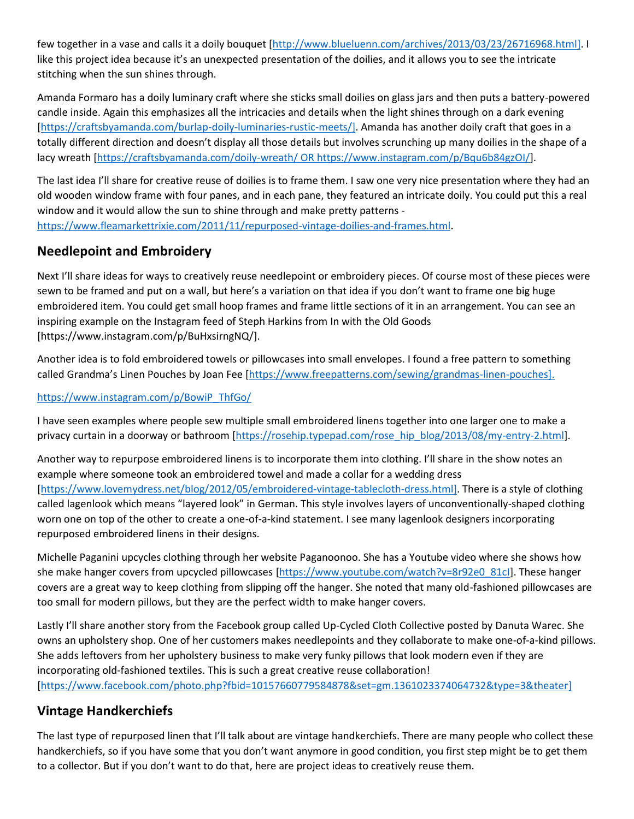few together in a vase and calls it a doily bouquet [http://www.blueluenn.com/archives/2013/03/23/26716968.html]. I like this project idea because it's an unexpected presentation of the doilies, and it allows you to see the intricate stitching when the sun shines through.

Amanda Formaro has a doily luminary craft where she sticks small doilies on glass jars and then puts a battery-powered candle inside. Again this emphasizes all the intricacies and details when the light shines through on a dark evening [https://craftsbyamanda.com/burlap-doily-luminaries-rustic-meets/]. Amanda has another doily craft that goes in a totally different direction and doesn't display all those details but involves scrunching up many doilies in the shape of a lacy wreath [https://craftsbyamanda.com/doily-wreath/ OR https://www.instagram.com/p/Bqu6b84gzOI/].

The last idea I'll share for creative reuse of doilies is to frame them. I saw one very nice presentation where they had an old wooden window frame with four panes, and in each pane, they featured an intricate doily. You could put this a real window and it would allow the sun to shine through and make pretty patterns https://www.fleamarkettrixie.com/2011/11/repurposed-vintage-doilies-and-frames.html.

#### **Needlepoint and Embroidery**

Next I'll share ideas for ways to creatively reuse needlepoint or embroidery pieces. Of course most of these pieces were sewn to be framed and put on a wall, but here's a variation on that idea if you don't want to frame one big huge embroidered item. You could get small hoop frames and frame little sections of it in an arrangement. You can see an inspiring example on the Instagram feed of Steph Harkins from In with the Old Goods [https://www.instagram.com/p/BuHxsirngNQ/].

Another idea is to fold embroidered towels or pillowcases into small envelopes. I found a free pattern to something called Grandma's Linen Pouches by Joan Fee [https://www.freepatterns.com/sewing/grandmas-linen-pouches].

#### https://www.instagram.com/p/BowiP\_ThfGo/

I have seen examples where people sew multiple small embroidered linens together into one larger one to make a privacy curtain in a doorway or bathroom [https://rosehip.typepad.com/rose\_hip\_blog/2013/08/my-entry-2.html].

Another way to repurpose embroidered linens is to incorporate them into clothing. I'll share in the show notes an example where someone took an embroidered towel and made a collar for a wedding dress [https://www.lovemydress.net/blog/2012/05/embroidered-vintage-tablecloth-dress.html]. There is a style of clothing called lagenlook which means "layered look" in German. This style involves layers of unconventionally-shaped clothing worn one on top of the other to create a one-of-a-kind statement. I see many lagenlook designers incorporating repurposed embroidered linens in their designs.

Michelle Paganini upcycles clothing through her website Paganoonoo. She has a Youtube video where she shows how she make hanger covers from upcycled pillowcases [https://www.youtube.com/watch?v=8r92e0\_81cI]. These hanger covers are a great way to keep clothing from slipping off the hanger. She noted that many old-fashioned pillowcases are too small for modern pillows, but they are the perfect width to make hanger covers.

Lastly I'll share another story from the Facebook group called Up-Cycled Cloth Collective posted by Danuta Warec. She owns an upholstery shop. One of her customers makes needlepoints and they collaborate to make one-of-a-kind pillows. She adds leftovers from her upholstery business to make very funky pillows that look modern even if they are incorporating old-fashioned textiles. This is such a great creative reuse collaboration! [https://www.facebook.com/photo.php?fbid=10157660779584878&set=gm.1361023374064732&type=3&theater]

## **Vintage Handkerchiefs**

The last type of repurposed linen that I'll talk about are vintage handkerchiefs. There are many people who collect these handkerchiefs, so if you have some that you don't want anymore in good condition, you first step might be to get them to a collector. But if you don't want to do that, here are project ideas to creatively reuse them.